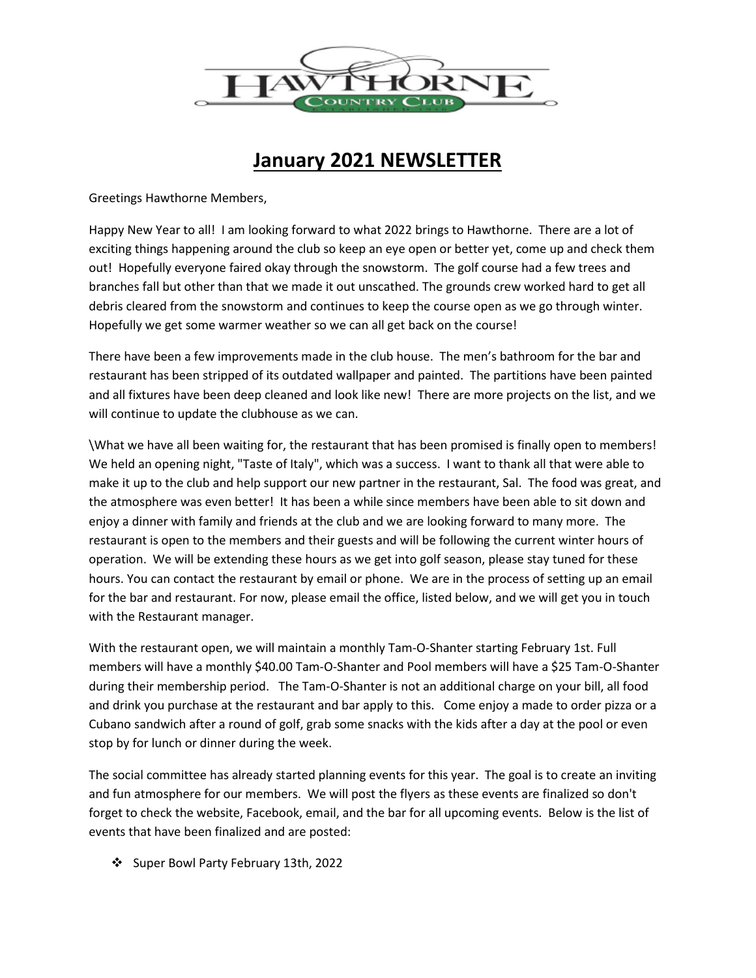

## **January 2021 NEWSLETTER**

Greetings Hawthorne Members,

Happy New Year to all! I am looking forward to what 2022 brings to Hawthorne. There are a lot of exciting things happening around the club so keep an eye open or better yet, come up and check them out! Hopefully everyone faired okay through the snowstorm. The golf course had a few trees and branches fall but other than that we made it out unscathed. The grounds crew worked hard to get all debris cleared from the snowstorm and continues to keep the course open as we go through winter. Hopefully we get some warmer weather so we can all get back on the course!

There have been a few improvements made in the club house. The men's bathroom for the bar and restaurant has been stripped of its outdated wallpaper and painted. The partitions have been painted and all fixtures have been deep cleaned and look like new! There are more projects on the list, and we will continue to update the clubhouse as we can.

\What we have all been waiting for, the restaurant that has been promised is finally open to members! We held an opening night, "Taste of Italy", which was a success. I want to thank all that were able to make it up to the club and help support our new partner in the restaurant, Sal. The food was great, and the atmosphere was even better! It has been a while since members have been able to sit down and enjoy a dinner with family and friends at the club and we are looking forward to many more. The restaurant is open to the members and their guests and will be following the current winter hours of operation. We will be extending these hours as we get into golf season, please stay tuned for these hours. You can contact the restaurant by email or phone. We are in the process of setting up an email for the bar and restaurant. For now, please email the office, listed below, and we will get you in touch with the Restaurant manager.

With the restaurant open, we will maintain a monthly Tam-O-Shanter starting February 1st. Full members will have a monthly \$40.00 Tam-O-Shanter and Pool members will have a \$25 Tam-O-Shanter during their membership period. The Tam-O-Shanter is not an additional charge on your bill, all food and drink you purchase at the restaurant and bar apply to this. Come enjoy a made to order pizza or a Cubano sandwich after a round of golf, grab some snacks with the kids after a day at the pool or even stop by for lunch or dinner during the week.

The social committee has already started planning events for this year. The goal is to create an inviting and fun atmosphere for our members. We will post the flyers as these events are finalized so don't forget to check the website, Facebook, email, and the bar for all upcoming events. Below is the list of events that have been finalized and are posted:

Super Bowl Party February 13th, 2022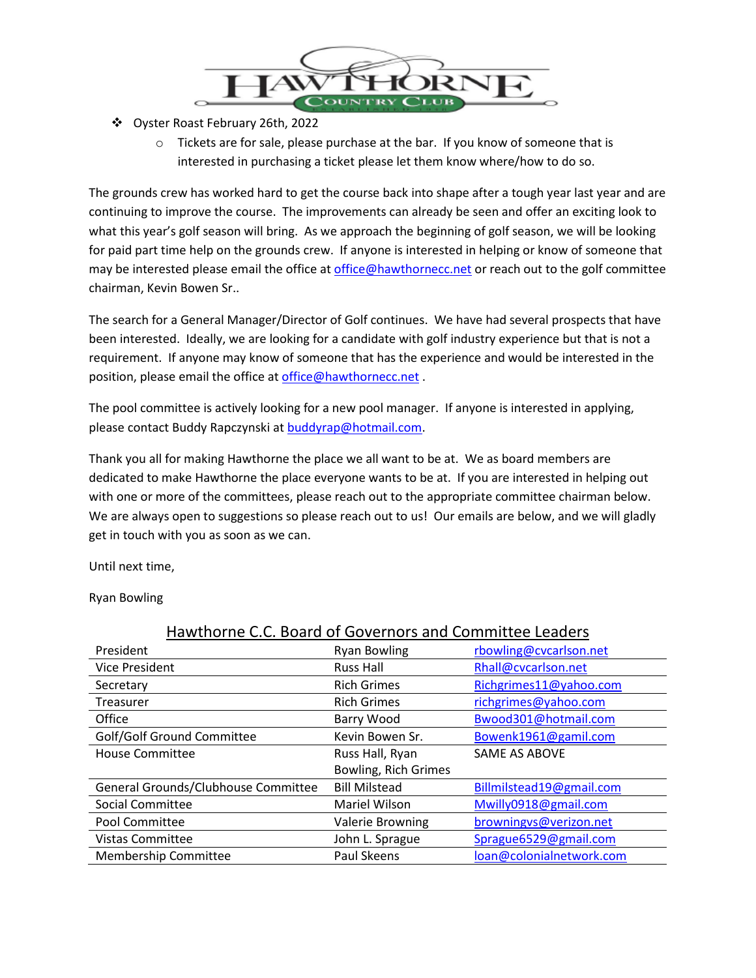

- Oyster Roast February 26th, 2022
	- o Tickets are for sale, please purchase at the bar. If you know of someone that is interested in purchasing a ticket please let them know where/how to do so.

The grounds crew has worked hard to get the course back into shape after a tough year last year and are continuing to improve the course. The improvements can already be seen and offer an exciting look to what this year's golf season will bring. As we approach the beginning of golf season, we will be looking for paid part time help on the grounds crew. If anyone is interested in helping or know of someone that may be interested please email the office a[t office@hawthornecc.net](mailto:office@hawthornecc.net) or reach out to the golf committee chairman, Kevin Bowen Sr..

The search for a General Manager/Director of Golf continues. We have had several prospects that have been interested. Ideally, we are looking for a candidate with golf industry experience but that is not a requirement. If anyone may know of someone that has the experience and would be interested in the position, please email the office at [office@hawthornecc.net](mailto:office@hawthornecc.net) .

The pool committee is actively looking for a new pool manager. If anyone is interested in applying, please contact Buddy Rapczynski a[t buddyrap@hotmail.com.](mailto:buddyrap@hotmail.com)

Thank you all for making Hawthorne the place we all want to be at. We as board members are dedicated to make Hawthorne the place everyone wants to be at. If you are interested in helping out with one or more of the committees, please reach out to the appropriate committee chairman below. We are always open to suggestions so please reach out to us! Our emails are below, and we will gladly get in touch with you as soon as we can.

Until next time,

Ryan Bowling

| Hawthorne C.C. Board of Governors and Committee Leaders |                         |                          |
|---------------------------------------------------------|-------------------------|--------------------------|
| President                                               | <b>Ryan Bowling</b>     | rbowling@cvcarlson.net   |
| <b>Vice President</b>                                   | <b>Russ Hall</b>        | Rhall@cvcarlson.net      |
| Secretary                                               | <b>Rich Grimes</b>      | Richgrimes11@yahoo.com   |
| Treasurer                                               | <b>Rich Grimes</b>      | richgrimes@yahoo.com     |
| Office                                                  | Barry Wood              | Bwood301@hotmail.com     |
| Golf/Golf Ground Committee                              | Kevin Bowen Sr.         | Bowenk1961@gamil.com     |
| <b>House Committee</b>                                  | Russ Hall, Ryan         | SAME AS ABOVE            |
|                                                         | Bowling, Rich Grimes    |                          |
| General Grounds/Clubhouse Committee                     | <b>Bill Milstead</b>    | Billmilstead19@gmail.com |
| <b>Social Committee</b>                                 | Mariel Wilson           | Mwilly0918@gmail.com     |
| Pool Committee                                          | <b>Valerie Browning</b> | browningvs@verizon.net   |
| <b>Vistas Committee</b>                                 | John L. Sprague         | Sprague6529@gmail.com    |
| <b>Membership Committee</b>                             | <b>Paul Skeens</b>      | loan@colonialnetwork.com |